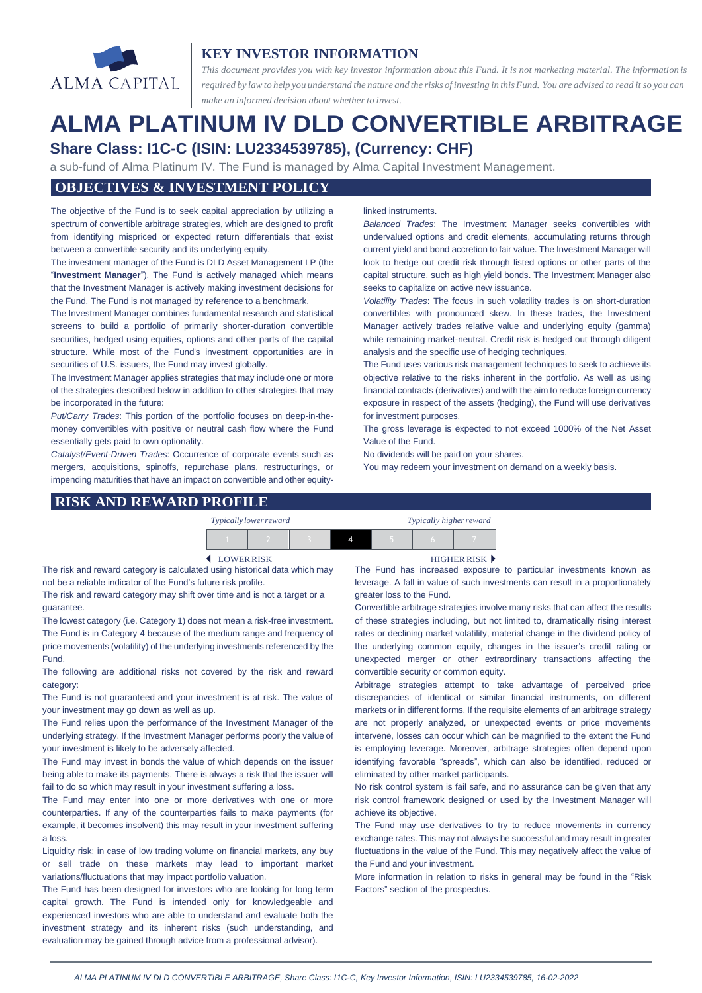

# **KEY INVESTOR INFORMATION**

*This document provides you with key investor information about this Fund. It is not marketing material. The information is* required by law to help you understand the nature and the risks of investing in this Fund. You are advised to read it so you can *make an informed decision about whether to invest.*

# **ALMA PLATINUM IV DLD CONVERTIBLE ARBITRAGE Share Class: I1C-C (ISIN: LU2334539785), (Currency: CHF)**

a sub-fund of Alma Platinum IV. The Fund is managed by Alma Capital Investment Management.

## **OBJECTIVES & INVESTMENT POLICY**

The objective of the Fund is to seek capital appreciation by utilizing a spectrum of convertible arbitrage strategies, which are designed to profit from identifying mispriced or expected return differentials that exist between a convertible security and its underlying equity.

The investment manager of the Fund is DLD Asset Management LP (the "**Investment Manager**"). The Fund is actively managed which means that the Investment Manager is actively making investment decisions for the Fund. The Fund is not managed by reference to a benchmark.

The Investment Manager combines fundamental research and statistical screens to build a portfolio of primarily shorter-duration convertible securities, hedged using equities, options and other parts of the capital structure. While most of the Fund's investment opportunities are in securities of U.S. issuers, the Fund may invest globally.

The Investment Manager applies strategies that may include one or more of the strategies described below in addition to other strategies that may be incorporated in the future:

*Put/Carry Trades*: This portion of the portfolio focuses on deep-in-themoney convertibles with positive or neutral cash flow where the Fund essentially gets paid to own optionality.

*Catalyst/Event-Driven Trades*: Occurrence of corporate events such as mergers, acquisitions, spinoffs, repurchase plans, restructurings, or impending maturities that have an impact on convertible and other equity-

#### linked instruments.

*Balanced Trades*: The Investment Manager seeks convertibles with undervalued options and credit elements, accumulating returns through current yield and bond accretion to fair value. The Investment Manager will look to hedge out credit risk through listed options or other parts of the capital structure, such as high yield bonds. The Investment Manager also seeks to capitalize on active new issuance.

*Volatility Trades*: The focus in such volatility trades is on short-duration convertibles with pronounced skew. In these trades, the Investment Manager actively trades relative value and underlying equity (gamma) while remaining market-neutral. Credit risk is hedged out through diligent analysis and the specific use of hedging techniques.

The Fund uses various risk management techniques to seek to achieve its objective relative to the risks inherent in the portfolio. As well as using financial contracts (derivatives) and with the aim to reduce foreign currency exposure in respect of the assets (hedging), the Fund will use derivatives for investment purposes.

The gross leverage is expected to not exceed 1000% of the Net Asset Value of the Fund.

No dividends will be paid on your shares.

You may redeem your investment on demand on a weekly basis.

#### **RISK AND REWARD PROFILE**

| Typically lower reward |  | Typically higher reward |  |  |  |
|------------------------|--|-------------------------|--|--|--|
|                        |  |                         |  |  |  |

The risk and reward category is calculated using historical data which may not be a reliable indicator of the Fund's future risk profile.

The risk and reward category may shift over time and is not a target or a guarantee.

The lowest category (i.e. Category 1) does not mean a risk-free investment. The Fund is in Category 4 because of the medium range and frequency of price movements (volatility) of the underlying investments referenced by the Fund.

The following are additional risks not covered by the risk and reward category:

The Fund is not guaranteed and your investment is at risk. The value of your investment may go down as well as up.

The Fund relies upon the performance of the Investment Manager of the underlying strategy. If the Investment Manager performs poorly the value of your investment is likely to be adversely affected.

The Fund may invest in bonds the value of which depends on the issuer being able to make its payments. There is always a risk that the issuer will fail to do so which may result in your investment suffering a loss.

The Fund may enter into one or more derivatives with one or more counterparties. If any of the counterparties fails to make payments (for example, it becomes insolvent) this may result in your investment suffering a loss.

Liquidity risk: in case of low trading volume on financial markets, any buy or sell trade on these markets may lead to important market variations/fluctuations that may impact portfolio valuation.

The Fund has been designed for investors who are looking for long term capital growth. The Fund is intended only for knowledgeable and experienced investors who are able to understand and evaluate both the investment strategy and its inherent risks (such understanding, and evaluation may be gained through advice from a professional advisor).

LOWERRISK HIGHER RISK

The Fund has increased exposure to particular investments known as leverage. A fall in value of such investments can result in a proportionately greater loss to the Fund.

Convertible arbitrage strategies involve many risks that can affect the results of these strategies including, but not limited to, dramatically rising interest rates or declining market volatility, material change in the dividend policy of the underlying common equity, changes in the issuer's credit rating or unexpected merger or other extraordinary transactions affecting the convertible security or common equity.

Arbitrage strategies attempt to take advantage of perceived price discrepancies of identical or similar financial instruments, on different markets or in different forms. If the requisite elements of an arbitrage strategy are not properly analyzed, or unexpected events or price movements intervene, losses can occur which can be magnified to the extent the Fund is employing leverage. Moreover, arbitrage strategies often depend upon identifying favorable "spreads", which can also be identified, reduced or eliminated by other market participants.

No risk control system is fail safe, and no assurance can be given that any risk control framework designed or used by the Investment Manager will achieve its objective.

The Fund may use derivatives to try to reduce movements in currency exchange rates. This may not always be successful and may result in greater fluctuations in the value of the Fund. This may negatively affect the value of the Fund and your investment.

More information in relation to risks in general may be found in the "Risk Factors" section of the prospectus.